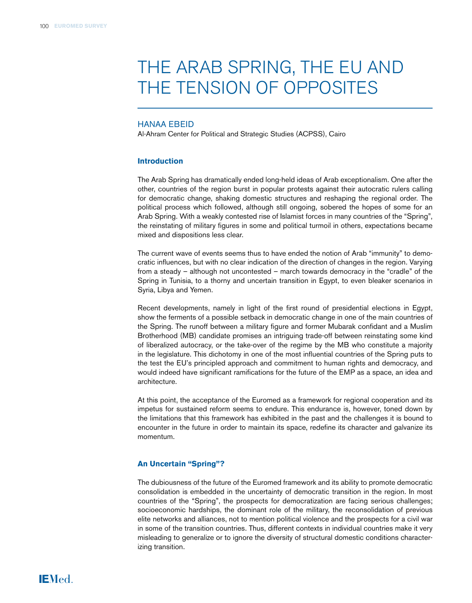# THE ARAB SPRING, THE EU AND THE TENSION OF OPPOSITES

# Hanaa Ebeid

Al-Ahram Center for Political and Strategic Studies (ACPSS), Cairo

#### **Introduction**

The Arab Spring has dramatically ended long-held ideas of Arab exceptionalism. One after the other, countries of the region burst in popular protests against their autocratic rulers calling for democratic change, shaking domestic structures and reshaping the regional order. The political process which followed, although still ongoing, sobered the hopes of some for an Arab Spring. With a weakly contested rise of Islamist forces in many countries of the "Spring", the reinstating of military figures in some and political turmoil in others, expectations became mixed and dispositions less clear.

The current wave of events seems thus to have ended the notion of Arab "immunity" to democratic influences, but with no clear indication of the direction of changes in the region. Varying from a steady – although not uncontested – march towards democracy in the "cradle" of the Spring in Tunisia, to a thorny and uncertain transition in Egypt, to even bleaker scenarios in Syria, Libya and Yemen.

Recent developments, namely in light of the first round of presidential elections in Egypt, show the ferments of a possible setback in democratic change in one of the main countries of the Spring. The runoff between a military figure and former Mubarak confidant and a Muslim Brotherhood (MB) candidate promises an intriguing trade-off between reinstating some kind of liberalized autocracy, or the take-over of the regime by the MB who constitute a majority in the legislature. This dichotomy in one of the most influential countries of the Spring puts to the test the EU's principled approach and commitment to human rights and democracy, and would indeed have significant ramifications for the future of the EMP as a space, an idea and architecture.

At this point, the acceptance of the Euromed as a framework for regional cooperation and its impetus for sustained reform seems to endure. This endurance is, however, toned down by the limitations that this framework has exhibited in the past and the challenges it is bound to encounter in the future in order to maintain its space, redefine its character and galvanize its momentum.

#### **An Uncertain "Spring"?**

The dubiousness of the future of the Euromed framework and its ability to promote democratic consolidation is embedded in the uncertainty of democratic transition in the region. In most countries of the "Spring", the prospects for democratization are facing serious challenges; socioeconomic hardships, the dominant role of the military, the reconsolidation of previous elite networks and alliances, not to mention political violence and the prospects for a civil war in some of the transition countries. Thus, different contexts in individual countries make it very misleading to generalize or to ignore the diversity of structural domestic conditions characterizing transition.

**IEMed.**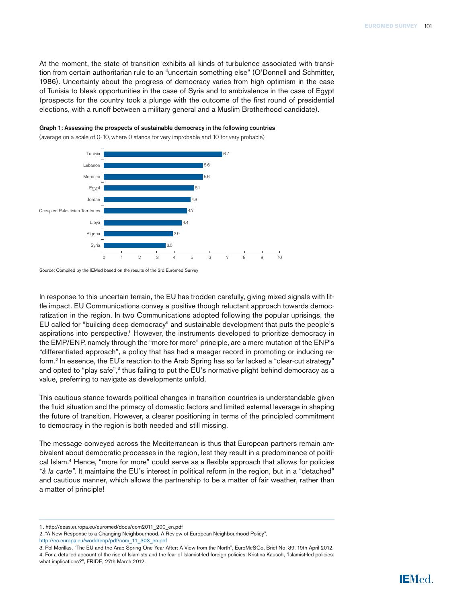At the moment, the state of transition exhibits all kinds of turbulence associated with transition from certain authoritarian rule to an "uncertain something else" (O'Donnell and Schmitter, 1986). Uncertainty about the progress of democracy varies from high optimism in the case of Tunisia to bleak opportunities in the case of Syria and to ambivalence in the case of Egypt (prospects for the country took a plunge with the outcome of the first round of presidential elections, with a runoff between a military general and a Muslim Brotherhood candidate).





(average on a scale of 0-10, where 0 stands for very improbable and 10 for very probable)

Source: Compiled by the IEMed based on the results of the 3rd Euromed Survey

In response to this uncertain terrain, the EU has trodden carefully, giving mixed signals with little impact. EU Communications convey a positive though reluctant approach towards democratization in the region. In two Communications adopted following the popular uprisings, the EU called for "building deep democracy" and sustainable development that puts the people's aspirations into perspective.1 However, the instruments developed to prioritize democracy in the EMP/ENP, namely through the "more for more" principle, are a mere mutation of the ENP's "differentiated approach", a policy that has had a meager record in promoting or inducing reform.2 In essence, the EU's reaction to the Arab Spring has so far lacked a "clear-cut strategy" and opted to "play safe", $3$  thus failing to put the EU's normative plight behind democracy as a value, preferring to navigate as developments unfold.

This cautious stance towards political changes in transition countries is understandable given the fluid situation and the primacy of domestic factors and limited external leverage in shaping the future of transition. However, a clearer positioning in terms of the principled commitment to democracy in the region is both needed and still missing.

The message conveyed across the Mediterranean is thus that European partners remain ambivalent about democratic processes in the region, lest they result in a predominance of political Islam.4 Hence, "more for more" could serve as a flexible approach that allows for policies *"à la carte"*. It maintains the EU's interest in political reform in the region, but in a "detached" and cautious manner, which allows the partnership to be a matter of fair weather, rather than a matter of principle!

<sup>1.</sup> http://eeas.europa.eu/euromed/docs/com2011\_200\_en.pdf

<sup>2. &</sup>quot;A New Response to a Changing Neighbourhood. A Review of European Neighbourhood Policy",

[http://ec.europa.eu/world/enp/pdf/com\\_11\\_303\\_en.pdf](http://ec.europa.eu/world/enp/pdf/com_11_303_en.pdf)

<sup>3.</sup> Pol Morillas, "The EU and the Arab Spring One Year After: A View from the North", EuroMeSCo, Brief No. 39, 19th April 2012. 4. For a detailed account of the rise of Islamists and the fear of Islamist-led foreign policies: Kristina Kausch, *"*Islamist-led policies: what implications?", FRIDE, 27th March 2012.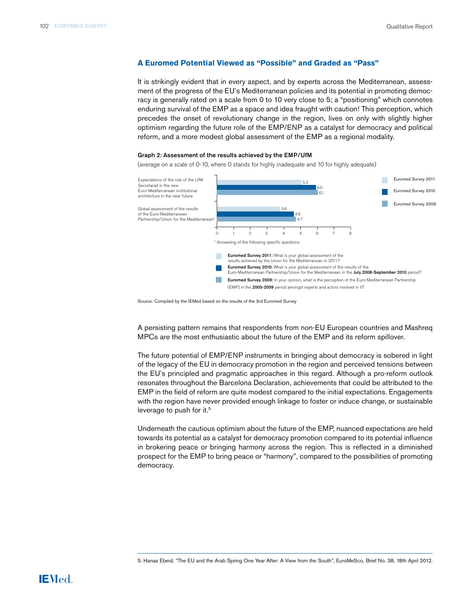#### **A Euromed Potential Viewed as "Possible" and Graded as "Pass"**

It is strikingly evident that in every aspect, and by experts across the Mediterranean, assessment of the progress of the EU's Mediterranean policies and its potential in promoting democracy is generally rated on a scale from 0 to 10 very close to 5; a "positioning" which connotes enduring survival of the EMP as a space and idea fraught with caution! This perception, which precedes the onset of revolutionary change in the region, lives on only with slightly higher optimism regarding the future role of the EMP/ENP as a catalyst for democracy and political reform, and a more modest global assessment of the EMP as a regional modality.

#### Graph 2: Assessment of the results achieved by the EMP/UfM

(average on a scale of 0-10, where 0 stands for highly inadequate and 10 for highly adequate)



Source: Compiled by the IEMed based on the results of the 3rd Euromed Survey

A persisting pattern remains that respondents from non-EU European countries and Mashreq MPCs are the most enthusiastic about the future of the EMP and its reform spillover.

The future potential of EMP/ENP instruments in bringing about democracy is sobered in light of the legacy of the EU in democracy promotion in the region and perceived tensions between the EU's principled and pragmatic approaches in this regard. Although a pro-reform outlook resonates throughout the Barcelona Declaration, achievements that could be attributed to the EMP in the field of reform are quite modest compared to the initial expectations. Engagements with the region have never provided enough linkage to foster or induce change, or sustainable leverage to push for it.<sup>5</sup>

Underneath the cautious optimism about the future of the EMP, nuanced expectations are held towards its potential as a catalyst for democracy promotion compared to its potential influence in brokering peace or bringing harmony across the region. This is reflected in a diminished prospect for the EMP to bring peace or "harmony", compared to the possibilities of promoting democracy.

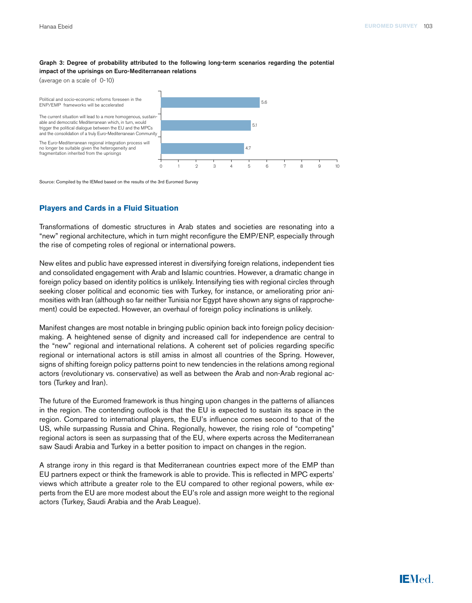#### Graph 3: Degree of probability attributed to the following long-term scenarios regarding the potential impact of the uprisings on Euro-Mediterranean relations

(average on a scale of 0-10)

Political and socio-economic reforms foreseen in the ENP/EMP frameworks will be accelerated

no longer be suitable given the heterogeneity and fragmentation inherited from the uprisings



Source: Compiled by the IEMed based on the results of the 3rd Euromed Survey

### **Players and Cards in a Fluid Situation**

Transformations of domestic structures in Arab states and societies are resonating into a "new" regional architecture, which in turn might reconfigure the EMP/ENP, especially through the rise of competing roles of regional or international powers.

New elites and public have expressed interest in diversifying foreign relations, independent ties and consolidated engagement with Arab and Islamic countries. However, a dramatic change in foreign policy based on identity politics is unlikely. Intensifying ties with regional circles through seeking closer political and economic ties with Turkey, for instance, or ameliorating prior animosities with Iran (although so far neither Tunisia nor Egypt have shown any signs of rapprochement) could be expected. However, an overhaul of foreign policy inclinations is unlikely.

Manifest changes are most notable in bringing public opinion back into foreign policy decisionmaking. A heightened sense of dignity and increased call for independence are central to the "new" regional and international relations. A coherent set of policies regarding specific regional or international actors is still amiss in almost all countries of the Spring. However, signs of shifting foreign policy patterns point to new tendencies in the relations among regional actors (revolutionary vs. conservative) as well as between the Arab and non-Arab regional actors (Turkey and Iran).

The future of the Euromed framework is thus hinging upon changes in the patterns of alliances in the region. The contending outlook is that the EU is expected to sustain its space in the region. Compared to international players, the EU's influence comes second to that of the US, while surpassing Russia and China. Regionally, however, the rising role of "competing" regional actors is seen as surpassing that of the EU, where experts across the Mediterranean saw Saudi Arabia and Turkey in a better position to impact on changes in the region.

A strange irony in this regard is that Mediterranean countries expect more of the EMP than EU partners expect or think the framework is able to provide. This is reflected in MPC experts' views which attribute a greater role to the EU compared to other regional powers, while experts from the EU are more modest about the EU's role and assign more weight to the regional actors (Turkey, Saudi Arabia and the Arab League).

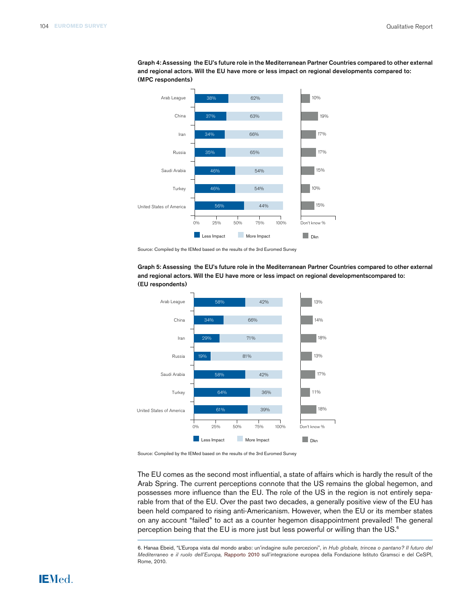

Graph 4: Assessing the EU's future role in the Mediterranean Partner Countries compared to other external and regional actors. Will the EU have more or less impact on regional developments compared to: (MPC respondents)



Graph 5: Assessing the EU's future role in the Mediterranean Partner Countries compared to other external and regional actors. Will the EU have more or less impact on regional developmentscompared to: (EU respondents)

Source: Compiled by the IEMed based on the results of the 3rd Euromed Survey

The EU comes as the second most influential, a state of affairs which is hardly the result of the Arab Spring. The current perceptions connote that the US remains the global hegemon, and possesses more influence than the EU. The role of the US in the region is not entirely separable from that of the EU. Over the past two decades, a generally positive view of the EU has been held compared to rising anti-Americanism. However, when the EU or its member states on any account "failed" to act as a counter hegemon disappointment prevailed! The general perception being that the EU is more just but less powerful or willing than the US.<sup>6</sup>

6. Hanaa Ebeid, "L'Europa vista dal mondo arabo: un'indagine sulle percezioni", in *Hub globale, trincea o pantano? Il futuro del Mediterraneo e il ruolo dell'Europa,* Rapporto 2010 sull'integrazione europea della Fondazione Istituto Gramsci e del CeSPI, Rome, 2010.

# **IEMed.**

Source: Compiled by the IEMed based on the results of the 3rd Euromed Survey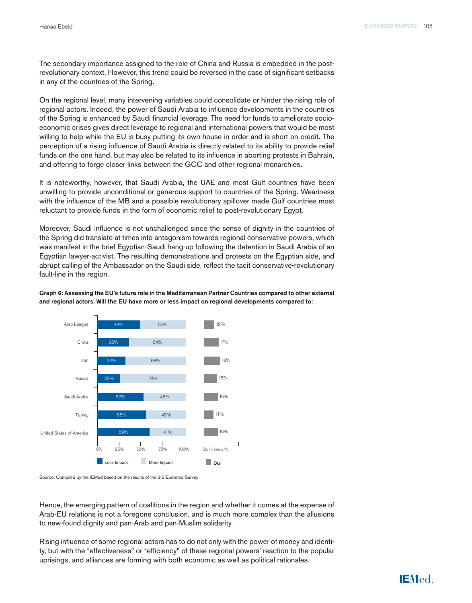The secondary importance assigned to the role of China and Russia is embedded in the postrevolutionary context. However, this trend could be reversed in the case of significant setbacks in any of the countries of the Spring.

On the regional level, many intervening variables could consolidate or hinder the rising role of regional actors. Indeed, the power of Saudi Arabia to influence developments in the countries of the Spring is enhanced by Saudi financial leverage. The need for funds to ameliorate socioeconomic crises gives direct leverage to regional and international powers that would be most willing to help while the EU is busy putting its own house in order and is short on credit. The perception of a rising influence of Saudi Arabia is directly related to its ability to provide relief funds on the one hand, but may also be related to its influence in aborting protests in Bahrain, and offering to forge closer links between the GCC and other regional monarchies.

It is noteworthy, however, that Saudi Arabia, the UAE and most Gulf countries have been unwilling to provide unconditional or generous support to countries of the Spring. Weariness with the influence of the MB and a possible revolutionary spillover made Gulf countries most reluctant to provide funds in the form of economic relief to post-revolutionary Egypt.

Moreover, Saudi influence is not unchallenged since the sense of dignity in the countries of the Spring did translate at times into antagonism towards regional conservative powers, which was manifest in the brief Egyptian-Saudi hang-up following the detention in Saudi Arabia of an Egyptian lawyer-activist. The resulting demonstrations and protests on the Egyptian side, and abrupt calling of the Ambassador on the Saudi side, reflect the tacit conservative-revolutionary fault-line in the region.

Graph 6: Assessing the EU's future role in the Mediterranean Partner Countries compared to other external and regional actors. Will the EU have more or less impact on regional developments compared to:



Source: Compiled by the IEMed based on the results of the 3rd Euromed Survey

Hence, the emerging pattern of coalitions in the region and whether it comes at the expense of Arab-EU relations is not a foregone conclusion, and is much more complex than the allusions to new-found dignity and pan-Arab and pan-Muslim solidarity.

Rising influence of some regional actors has to do not only with the power of money and identity, but with the "effectiveness" or "efficiency" of these regional powers' reaction to the popular uprisings, and alliances are forming with both economic as well as political rationales.

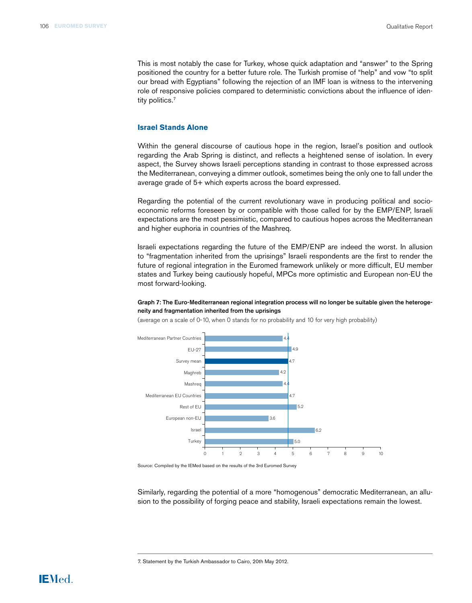This is most notably the case for Turkey, whose quick adaptation and "answer" to the Spring positioned the country for a better future role. The Turkish promise of "help" and vow "to split our bread with Egyptians" following the rejection of an IMF loan is witness to the intervening role of responsive policies compared to deterministic convictions about the influence of identity politics.<sup>7</sup>

#### **Israel Stands Alone**

Within the general discourse of cautious hope in the region, Israel's position and outlook regarding the Arab Spring is distinct, and reflects a heightened sense of isolation. In every aspect, the Survey shows Israeli perceptions standing in contrast to those expressed across the Mediterranean, conveying a dimmer outlook, sometimes being the only one to fall under the average grade of 5+ which experts across the board expressed.

Regarding the potential of the current revolutionary wave in producing political and socioeconomic reforms foreseen by or compatible with those called for by the EMP/ENP, Israeli expectations are the most pessimistic, compared to cautious hopes across the Mediterranean and higher euphoria in countries of the Mashreq.

Israeli expectations regarding the future of the EMP/ENP are indeed the worst. In allusion to "fragmentation inherited from the uprisings" Israeli respondents are the first to render the future of regional integration in the Euromed framework unlikely or more difficult, EU member states and Turkey being cautiously hopeful, MPCs more optimistic and European non-EU the most forward-looking.

#### Graph 7: The Euro-Mediterranean regional integration process will no longer be suitable given the heterogeneity and fragmentation inherited from the uprisings



(average on a scale of 0-10, when 0 stands for no probability and 10 for very high probability)

Source: Compiled by the IEMed based on the results of the 3rd Euromed Survey

Similarly, regarding the potential of a more "homogenous" democratic Mediterranean, an allusion to the possibility of forging peace and stability, Israeli expectations remain the lowest.

7. Statement by the Turkish Ambassador to Cairo, 20th May 2012.